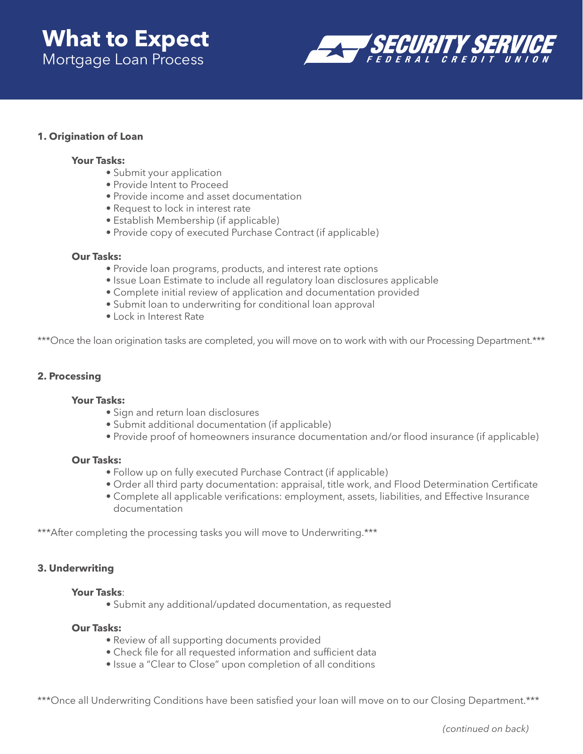# **What to Expect** Mortgage Loan Process



# **1. Origination of Loan**

### **Your Tasks:**

- Submit your application
- Provide Intent to Proceed
- Provide income and asset documentation
- Request to lock in interest rate
- Establish Membership (if applicable)
- Provide copy of executed Purchase Contract (if applicable)

## **Our Tasks:**

- Provide loan programs, products, and interest rate options
- Issue Loan Estimate to include all regulatory loan disclosures applicable
- Complete initial review of application and documentation provided
- Submit loan to underwriting for conditional loan approval
- Lock in Interest Rate

\*\*\*Once the loan origination tasks are completed, you will move on to work with with our Processing Department.\*\*\*

## **2. Processing**

## **Your Tasks:**

- Sign and return loan disclosures
- Submit additional documentation (if applicable)
- Provide proof of homeowners insurance documentation and/or flood insurance (if applicable)

## **Our Tasks:**

- Follow up on fully executed Purchase Contract (if applicable)
- Order all third party documentation: appraisal, title work, and Flood Determination Certificate
- Complete all applicable verifications: employment, assets, liabilities, and Effective Insurance documentation

\*\*\*After completing the processing tasks you will move to Underwriting.\*\*\*

# **3. Underwriting**

## **Your Tasks**:

• Submit any additional/updated documentation, as requested

# **Our Tasks:**

- Review of all supporting documents provided
- Check file for all requested information and sufficient data
- Issue a "Clear to Close" upon completion of all conditions

\*\*\*Once all Underwriting Conditions have been satisfied your loan will move on to our Closing Department.\*\*\*